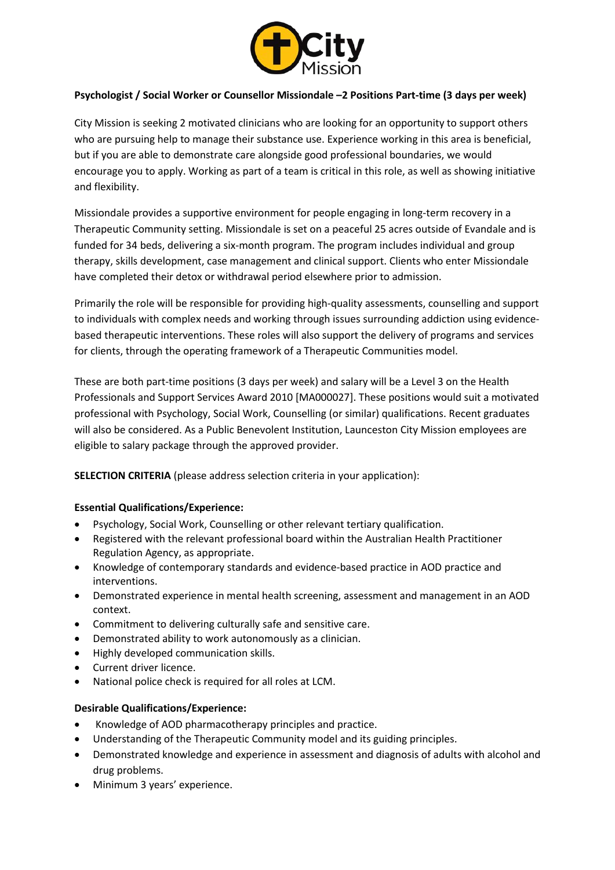

## **Psychologist / Social Worker or Counsellor Missiondale –2 Positions Part-time (3 days per week)**

City Mission is seeking 2 motivated clinicians who are looking for an opportunity to support others who are pursuing help to manage their substance use. Experience working in this area is beneficial, but if you are able to demonstrate care alongside good professional boundaries, we would encourage you to apply. Working as part of a team is critical in this role, as well as showing initiative and flexibility.

Missiondale provides a supportive environment for people engaging in long-term recovery in a Therapeutic Community setting. Missiondale is set on a peaceful 25 acres outside of Evandale and is funded for 34 beds, delivering a six-month program. The program includes individual and group therapy, skills development, case management and clinical support. Clients who enter Missiondale have completed their detox or withdrawal period elsewhere prior to admission.

Primarily the role will be responsible for providing high-quality assessments, counselling and support to individuals with complex needs and working through issues surrounding addiction using evidencebased therapeutic interventions. These roles will also support the delivery of programs and services for clients, through the operating framework of a Therapeutic Communities model.

These are both part-time positions (3 days per week) and salary will be a Level 3 on the Health Professionals and Support Services Award 2010 [MA000027]. These positions would suit a motivated professional with Psychology, Social Work, Counselling (or similar) qualifications. Recent graduates will also be considered. As a Public Benevolent Institution, Launceston City Mission employees are eligible to salary package through the approved provider.

**SELECTION CRITERIA** (please address selection criteria in your application):

## **Essential Qualifications/Experience:**

- Psychology, Social Work, Counselling or other relevant tertiary qualification.
- Registered with the relevant professional board within the Australian Health Practitioner Regulation Agency, as appropriate.
- Knowledge of contemporary standards and evidence-based practice in AOD practice and interventions.
- Demonstrated experience in mental health screening, assessment and management in an AOD context.
- Commitment to delivering culturally safe and sensitive care.
- Demonstrated ability to work autonomously as a clinician.
- Highly developed communication skills.
- Current driver licence.
- National police check is required for all roles at LCM.

## **Desirable Qualifications/Experience:**

- Knowledge of AOD pharmacotherapy principles and practice.
- Understanding of the Therapeutic Community model and its guiding principles.
- Demonstrated knowledge and experience in assessment and diagnosis of adults with alcohol and drug problems.
- Minimum 3 years' experience.